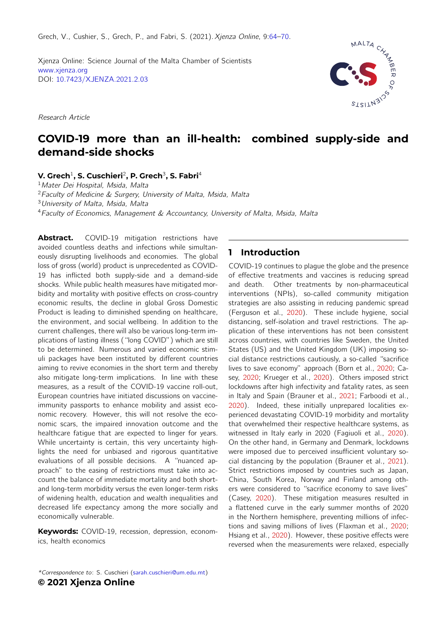Grech, V., Cushier, S., Grech, P., and Fabri, S. (2021). Xjenza Online, 9:64-[70.](#page-3-0)

<span id="page-0-0"></span>Xjenza Online: Science Journal of the Malta Chamber of Scientists [www.xjenza.org](https://www.xjenza.org) DOI: [10.7423/XJENZA.2021.2.03](https://doi.org/10.7423/XJENZA.2021.2.03)

Research Article



# **COVID-19 more than an ill-health: combined supply-side and demand-side shocks**

**V. Grech**<sup>1</sup> **, S. Cuschieri**<sup>2</sup> **, P. Grech**<sup>3</sup> **, S. Fabri**<sup>4</sup>

<sup>1</sup> Mater Dei Hospital, Msida, Malta

<sup>2</sup>Faculty of Medicine & Surgery, University of Malta, Msida, Malta

<sup>3</sup>University of Malta, Msida, Malta

<sup>4</sup>Faculty of Economics, Management & Accountancy, University of Malta, Msida, Malta

Abstract. COVID-19 mitigation restrictions have avoided countless deaths and infections while simultaneously disrupting livelihoods and economies. The global loss of gross (world) product is unprecedented as COVID-19 has inflicted both supply-side and a demand-side shocks. While public health measures have mitigated morbidity and mortality with positive effects on cross-country economic results, the decline in global Gross Domestic Product is leading to diminished spending on healthcare, the environment, and social wellbeing. In addition to the current challenges, there will also be various long-term implications of lasting illness ("long COVID") which are still to be determined. Numerous and varied economic stimuli packages have been instituted by different countries aiming to revive economies in the short term and thereby also mitigate long-term implications. In line with these measures, as a result of the COVID-19 vaccine roll-out, European countries have initiated discussions on vaccineimmunity passports to enhance mobility and assist economic recovery. However, this will not resolve the economic scars, the impaired innovation outcome and the healthcare fatigue that are expected to linger for years. While uncertainty is certain, this very uncertainty highlights the need for unbiased and rigorous quantitative evaluations of all possible decisions. A "nuanced approach" to the easing of restrictions must take into account the balance of immediate mortality and both shortand long-term morbidity versus the even longer-term risks of widening health, education and wealth inequalities and decreased life expectancy among the more socially and economically vulnerable.

**Keywords:** COVID-19, recession, depression, economics, health economics

# **1 Introduction**

COVID-19 continues to plague the globe and the presence of effective treatments and vaccines is reducing spread and death. Other treatments by non-pharmaceutical interventions (NPIs), so-called community mitigation strategies are also assisting in reducing pandemic spread (Ferguson et al., [2020\)](#page-5-0). These include hygiene, social distancing, self-isolation and travel restrictions. The application of these interventions has not been consistent across countries, with countries like Sweden, the United States (US) and the United Kingdom (UK) imposing social distance restrictions cautiously, a so-called "sacrifice lives to save economy" approach (Born et al., [2020;](#page-4-0) Casey, [2020;](#page-4-1) Krueger et al., [2020\)](#page-5-1). Others imposed strict lockdowns after high infectivity and fatality rates, as seen in Italy and Spain (Brauner et al., [2021;](#page-4-2) Farboodi et al., [2020\)](#page-5-2). Indeed, these initially unprepared localities experienced devastating COVID-19 morbidity and mortality that overwhelmed their respective healthcare systems, as witnessed in Italy early in 2020 (Fagiuoli et al., [2020\)](#page-5-3). On the other hand, in Germany and Denmark, lockdowns were imposed due to perceived insufficient voluntary social distancing by the population (Brauner et al., [2021\)](#page-4-2). Strict restrictions imposed by countries such as Japan, China, South Korea, Norway and Finland among others were considered to "sacrifice economy to save lives" (Casey, [2020\)](#page-4-1). These mitigation measures resulted in a flattened curve in the early summer months of 2020 in the Northern hemisphere, preventing millions of infections and saving millions of lives (Flaxman et al., [2020;](#page-5-4) Hsiang et al., [2020\)](#page-5-5). However, these positive effects were reversed when the measurements were relaxed, especially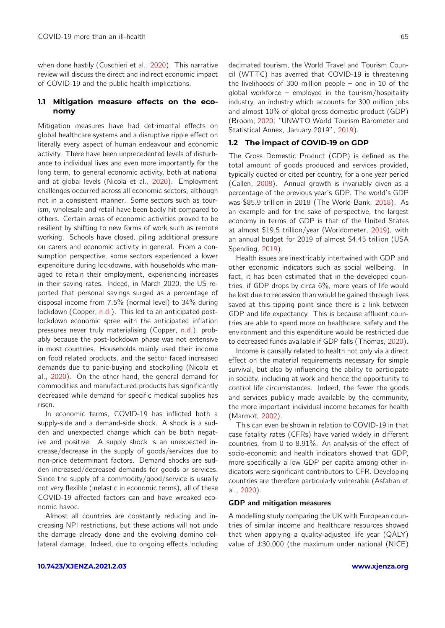when done hastily (Cuschieri et al., [2020\)](#page-4-3). This narrative review will discuss the direct and indirect economic impact of COVID-19 and the public health implications.

## **1.1 Mitigation measure effects on the economy**

Mitigation measures have had detrimental effects on global healthcare systems and a disruptive ripple effect on literally every aspect of human endeavour and economic activity. There have been unprecedented levels of disturbance to individual lives and even more importantly for the long term, to general economic activity, both at national and at global levels (Nicola et al., [2020\)](#page-5-6). Employment challenges occurred across all economic sectors, although not in a consistent manner. Some sectors such as tourism, wholesale and retail have been badly hit compared to others. Certain areas of economic activities proved to be resilient by shifting to new forms of work such as remote working. Schools have closed, piling additional pressure on carers and economic activity in general. From a consumption perspective, some sectors experienced a lower expenditure during lockdowns, with households who managed to retain their employment, experiencing increases in their saving rates. Indeed, in March 2020, the US reported that personal savings surged as a percentage of disposal income from 7.5% (normal level) to 34% during lockdown (Copper, [n.d.\)](#page-4-4). This led to an anticipated postlockdown economic spree with the anticipated inflation pressures never truly materialising (Copper, [n.d.\)](#page-4-4), probably because the post-lockdown phase was not extensive in most countries. Households mainly used their income on food related products, and the sector faced increased demands due to panic-buying and stockpiling (Nicola et al., [2020\)](#page-5-6). On the other hand, the general demand for commodities and manufactured products has significantly decreased while demand for specific medical supplies has risen.

In economic terms, COVID-19 has inflicted both a supply-side and a demand-side shock. A shock is a sudden and unexpected change which can be both negative and positive. A supply shock is an unexpected increase/decrease in the supply of goods/services due to non-price determinant factors. Demand shocks are sudden increased/decreased demands for goods or services. Since the supply of a commodity/good/service is usually not very flexible (inelastic in economic terms), all of these COVID-19 affected factors can and have wreaked economic havoc.

Almost all countries are constantly reducing and increasing NPI restrictions, but these actions will not undo the damage already done and the evolving domino collateral damage. Indeed, due to ongoing effects including decimated tourism, the World Travel and Tourism Council (WTTC) has averred that COVID-19 is threatening the livelihoods of 300 million people – one in 10 of the global workforce – employed in the tourism/hospitality industry, an industry which accounts for 300 million jobs and almost 10% of global gross domestic product (GDP) (Broom, [2020;](#page-4-5) "UNWTO World Tourism Barometer and Statistical Annex, January 2019", [2019\)](#page-5-7).

# **1.2 The impact of COVID-19 on GDP**

The Gross Domestic Product (GDP) is defined as the total amount of goods produced and services provided, typically quoted or cited per country, for a one year period (Callen, [2008\)](#page-4-6). Annual growth is invariably given as a percentage of the previous year's GDP. The world's GDP was \$85.9 trillion in 2018 (The World Bank, [2018\)](#page-5-8). As an example and for the sake of perspective, the largest economy in terms of GDP is that of the United States at almost \$19.5 trillion/year (Worldometer, [2019\)](#page-6-0), with an annual budget for 2019 of almost \$4.45 trillion (USA Spending, [2019\)](#page-6-1).

Health issues are inextricably intertwined with GDP and other economic indicators such as social wellbeing. In fact, it has been estimated that in the developed countries, if GDP drops by circa 6%, more years of life would be lost due to recession than would be gained through lives saved at this tipping point since there is a link between GDP and life expectancy. This is because affluent countries are able to spend more on healthcare, safety and the environment and this expenditure would be restricted due to decreased funds available if GDP falls (Thomas, [2020\)](#page-5-9).

Income is causally related to health not only via a direct effect on the material requirements necessary for simple survival, but also by influencing the ability to participate in society, including at work and hence the opportunity to control life circumstances. Indeed, the fewer the goods and services publicly made available by the community, the more important individual income becomes for health (Marmot, [2002\)](#page-5-10).

This can even be shown in relation to COVID-19 in that case fatality rates (CFRs) have varied widely in different countries, from 0 to 8.91%. An analysis of the effect of socio-economic and health indicators showed that GDP, more specifically a low GDP per capita among other indicators were significant contributors to CFR. Developing countries are therefore particularly vulnerable (Asfahan et al., [2020\)](#page-4-7).

#### GDP and mitigation measures

A modelling study comparing the UK with European countries of similar income and healthcare resources showed that when applying a quality-adjusted life year (QALY) value of £30,000 (the maximum under national (NICE)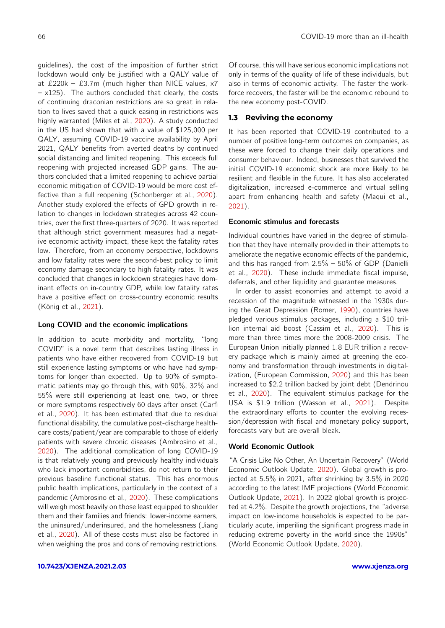guidelines), the cost of the imposition of further strict lockdown would only be justified with a QALY value of at £220k – £3.7m (much higher than NICE values,  $x7$  $- x125$ ). The authors concluded that clearly, the costs of continuing draconian restrictions are so great in relation to lives saved that a quick easing in restrictions was highly warranted (Miles et al., [2020\)](#page-5-11). A study conducted in the US had shown that with a value of \$125,000 per QALY, assuming COVID-19 vaccine availability by April 2021, QALY benefits from averted deaths by continued social distancing and limited reopening. This exceeds full reopening with projected increased GDP gains. The authors concluded that a limited reopening to achieve partial economic mitigation of COVID-19 would be more cost effective than a full reopening (Schonberger et al., [2020\)](#page-5-12). Another study explored the effects of GPD growth in relation to changes in lockdown strategies across 42 countries, over the first three-quarters of 2020. It was reported that although strict government measures had a negative economic activity impact, these kept the fatality rates low. Therefore, from an economy perspective, lockdowns and low fatality rates were the second-best policy to limit economy damage secondary to high fatality rates. It was concluded that changes in lockdown strategies have dominant effects on in-country GDP, while low fatality rates have a positive effect on cross-country economic results (König et al., [2021\)](#page-5-13).

#### Long COVID and the economic implications

In addition to acute morbidity and mortality, "long COVID" is a novel term that describes lasting illness in patients who have either recovered from COVID-19 but still experience lasting symptoms or who have had symptoms for longer than expected. Up to 90% of symptomatic patients may go through this, with 90%, 32% and 55% were still experiencing at least one, two, or three or more symptoms respectively 60 days after onset (Carfi et al., [2020\)](#page-4-8). It has been estimated that due to residual functional disability, the cumulative post-discharge healthcare costs/patient/year are comparable to those of elderly patients with severe chronic diseases (Ambrosino et al., [2020\)](#page-4-9). The additional complication of long COVID-19 is that relatively young and previously healthy individuals who lack important comorbidities, do not return to their previous baseline functional status. This has enormous public health implications, particularly in the context of a pandemic (Ambrosino et al., [2020\)](#page-4-9). These complications will weigh most heavily on those least equipped to shoulder them and their families and friends: lower-income earners, the uninsured/underinsured, and the homelessness (Jiang et al., [2020\)](#page-5-14). All of these costs must also be factored in when weighing the pros and cons of removing restrictions.

**[10.7423/XJENZA.2021.2.03](https://doi.org/10.7423/XJENZA.2021.2.03) [www.xjenza.org](https://xjenza.org)**

Of course, this will have serious economic implications not only in terms of the quality of life of these individuals, but also in terms of economic activity. The faster the workforce recovers, the faster will be the economic rebound to the new economy post-COVID.

# **1.3 Reviving the economy**

It has been reported that COVID-19 contributed to a number of positive long-term outcomes on companies, as these were forced to change their daily operations and consumer behaviour. Indeed, businesses that survived the initial COVID-19 economic shock are more likely to be resilient and flexible in the future. It has also accelerated digitalization, increased e-commerce and virtual selling apart from enhancing health and safety (Maqui et al., [2021\)](#page-5-15).

#### Economic stimulus and forecasts

Individual countries have varied in the degree of stimulation that they have internally provided in their attempts to ameliorate the negative economic effects of the pandemic, and this has ranged from 2.5% – 50% of GDP (Danielli et al., [2020\)](#page-4-10). These include immediate fiscal impulse, deferrals, and other liquidity and guarantee measures.

In order to assist economies and attempt to avoid a recession of the magnitude witnessed in the 1930s during the Great Depression (Romer, [1990\)](#page-5-16), countries have pledged various stimulus packages, including a \$10 trillion internal aid boost (Cassim et al., [2020\)](#page-4-11). This is more than three times more the 2008-2009 crisis. The European Union initially planned 1.8 EUR trillion a recovery package which is mainly aimed at greening the economy and transformation through investments in digitalization, (European Commission, [2020\)](#page-4-12) and this has been increased to \$2.2 trillion backed by joint debt (Dendrinou et al., [2020\)](#page-4-13). The equivalent stimulus package for the USA is \$1.9 trillion (Wasson et al., [2021\)](#page-6-2). Despite the extraordinary efforts to counter the evolving recession/depression with fiscal and monetary policy support, forecasts vary but are overall bleak.

## World Economic Outlook

"A Crisis Like No Other, An Uncertain Recovery" (World Economic Outlook Update, [2020\)](#page-6-3). Global growth is projected at 5.5% in 2021, after shrinking by 3.5% in 2020 according to the latest IMF projections (World Economic Outlook Update, [2021\)](#page-6-4). In 2022 global growth is projected at 4.2%. Despite the growth projections, the "adverse impact on low-income households is expected to be particularly acute, imperiling the significant progress made in reducing extreme poverty in the world since the 1990s" (World Economic Outlook Update, [2020\)](#page-6-3).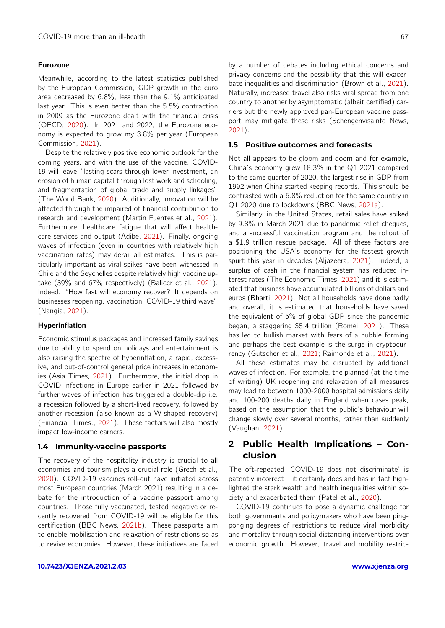#### Eurozone

Meanwhile, according to the latest statistics published by the European Commission, GDP growth in the euro area decreased by 6.8%, less than the 9.1% anticipated last year. This is even better than the 5.5% contraction in 2009 as the Eurozone dealt with the financial crisis (OECD, [2020\)](#page-5-17). In 2021 and 2022, the Eurozone economy is expected to grow my 3.8% per year (European Commission, [2021\)](#page-4-14).

Despite the relatively positive economic outlook for the coming years, and with the use of the vaccine, COVID-19 will leave "lasting scars through lower investment, an erosion of human capital through lost work and schooling, and fragmentation of global trade and supply linkages" (The World Bank, [2020\)](#page-5-18). Additionally, innovation will be affected through the impaired of financial contribution to research and development (Martin Fuentes et al., [2021\)](#page-5-19). Furthermore, healthcare fatigue that will affect healthcare services and output (Adibe, [2021\)](#page-4-15). Finally, ongoing waves of infection (even in countries with relatively high vaccination rates) may derail all estimates. This is particularly important as viral spikes have been witnessed in Chile and the Seychelles despite relatively high vaccine uptake (39% and 67% respectively) (Balicer et al., [2021\)](#page-4-16). Indeed: "How fast will economy recover? It depends on businesses reopening, vaccination, COVID-19 third wave" (Nangia, [2021\)](#page-5-20).

#### Hyperinflation

Economic stimulus packages and increased family savings due to ability to spend on holidays and entertainment is also raising the spectre of hyperinflation, a rapid, excessive, and out-of-control general price increases in economies (Asia Times, [2021\)](#page-4-17). Furthermore, the initial drop in COVID infections in Europe earlier in 2021 followed by further waves of infection has triggered a double-dip i.e. a recession followed by a short-lived recovery, followed by another recession (also known as a W-shaped recovery) (Financial Times., [2021\)](#page-5-21). These factors will also mostly impact low-income earners.

#### **1.4 Immunity-vaccine passports**

The recovery of the hospitality industry is crucial to all economies and tourism plays a crucial role (Grech et al., [2020\)](#page-5-22). COVID-19 vaccines roll-out have initiated across most European countries (March 2021) resulting in a debate for the introduction of a vaccine passport among countries. Those fully vaccinated, tested negative or recently recovered from COVID-19 will be eligible for this certification (BBC News, [2021b\)](#page-4-18). These passports aim to enable mobilisation and relaxation of restrictions so as to revive economies. However, these initiatives are faced

**[10.7423/XJENZA.2021.2.03](https://doi.org/10.7423/XJENZA.2021.2.03) [www.xjenza.org](https://xjenza.org)**

by a number of debates including ethical concerns and privacy concerns and the possibility that this will exacerbate inequalities and discrimination (Brown et al., [2021\)](#page-4-19). Naturally, increased travel also risks viral spread from one country to another by asymptomatic (albeit certified) carriers but the newly approved pan-European vaccine passport may mitigate these risks (Schengenvisainfo News, [2021\)](#page-5-23).

### **1.5 Positive outcomes and forecasts**

Not all appears to be gloom and doom and for example, China's economy grew 18.3% in the Q1 2021 compared to the same quarter of 2020, the largest rise in GDP from 1992 when China started keeping records. This should be contrasted with a 6.8% reduction for the same country in Q1 2020 due to lockdowns (BBC News, [2021a\)](#page-4-20).

Similarly, in the United States, retail sales have spiked by 9.8% in March 2021 due to pandemic relief cheques, and a successful vaccination program and the rollout of a \$1.9 trillion rescue package. All of these factors are positioning the USA's economy for the fastest growth spurt this year in decades (Aljazeera, [2021\)](#page-4-21). Indeed, a surplus of cash in the financial system has reduced interest rates (The Economic Times, [2021\)](#page-5-24) and it is estimated that business have accumulated billions of dollars and euros (Bharti, [2021\)](#page-4-22). Not all households have done badly and overall, it is estimated that households have saved the equivalent of 6% of global GDP since the pandemic began, a staggering \$5.4 trillion (Romei, [2021\)](#page-5-25). These has led to bullish market with fears of a bubble forming and perhaps the best example is the surge in cryptocurrency (Gutscher et al., [2021;](#page-5-26) Raimonde et al., [2021\)](#page-5-27).

All these estimates may be disrupted by additional waves of infection. For example, the planned (at the time of writing) UK reopening and relaxation of all measures may lead to between 1000-2000 hospital admissions daily and 100-200 deaths daily in England when cases peak, based on the assumption that the public's behaviour will change slowly over several months, rather than suddenly (Vaughan, [2021\)](#page-6-5).

# <span id="page-3-0"></span>**2 Public Health Implications – Conclusion**

The oft-repeated 'COVID-19 does not discriminate' is patently incorrect – it certainly does and has in fact highlighted the stark wealth and health inequalities within society and exacerbated them (Patel et al., [2020\)](#page-5-28).

COVID-19 continues to pose a dynamic challenge for both governments and policymakers who have been pingponging degrees of restrictions to reduce viral morbidity and mortality through social distancing interventions over economic growth. However, travel and mobility restric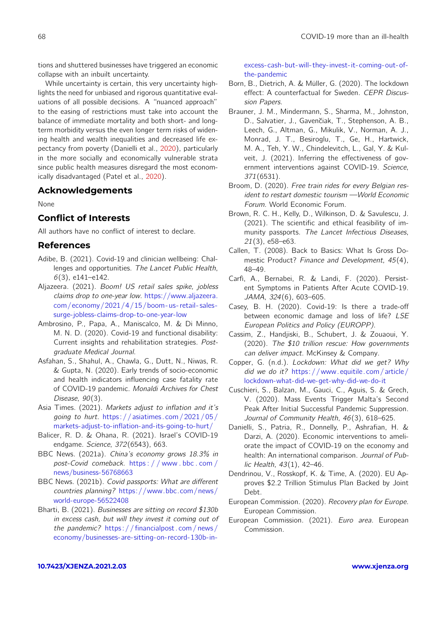tions and shuttered businesses have triggered an economic collapse with an inbuilt uncertainty.

While uncertainty is certain, this very uncertainty highlights the need for unbiased and rigorous quantitative evaluations of all possible decisions. A "nuanced approach" to the easing of restrictions must take into account the balance of immediate mortality and both short- and longterm morbidity versus the even longer term risks of widening health and wealth inequalities and decreased life expectancy from poverty (Danielli et al., [2020\)](#page-4-10), particularly in the more socially and economically vulnerable strata since public health measures disregard the most economically disadvantaged (Patel et al., [2020\)](#page-5-28).

# **Acknowledgements**

None

# **Conflict of Interests**

All authors have no conflict of interest to declare.

# **References**

- <span id="page-4-15"></span>Adibe, B. (2021). Covid-19 and clinician wellbeing: Challenges and opportunities. The Lancet Public Health,  $6(3)$ , e141–e142.
- <span id="page-4-21"></span>Aljazeera. (2021). Boom! US retail sales spike, jobless claims drop to one-year low. [https://www.aljazeera.](https://www.aljazeera.com/economy/2021/4/15/boom-us-retail-sales-surge-jobless-claims-drop-to-one-year-low) [com/economy/2021/4/15/boom- us- retail- sales](https://www.aljazeera.com/economy/2021/4/15/boom-us-retail-sales-surge-jobless-claims-drop-to-one-year-low)[surge-jobless-claims-drop-to-one-year-low](https://www.aljazeera.com/economy/2021/4/15/boom-us-retail-sales-surge-jobless-claims-drop-to-one-year-low)
- <span id="page-4-9"></span>Ambrosino, P., Papa, A., Maniscalco, M. & Di Minno, M. N. D. (2020). Covid-19 and functional disability: Current insights and rehabilitation strategies. Postgraduate Medical Journal.
- <span id="page-4-7"></span>Asfahan, S., Shahul, A., Chawla, G., Dutt, N., Niwas, R. & Gupta, N. (2020). Early trends of socio-economic and health indicators influencing case fatality rate of COVID-19 pandemic. Monaldi Archives for Chest Disease, 90(3).
- <span id="page-4-17"></span>Asia Times. (2021). Markets adjust to inflation and it's going to hurt. [https: / /asiatimes.com / 2021 / 05 /](https://asiatimes.com/2021/05/markets-adjust-to-inflation-and-its-going-to-hurt/) [markets-adjust-to-inflation-and-its-going-to-hurt/](https://asiatimes.com/2021/05/markets-adjust-to-inflation-and-its-going-to-hurt/)
- <span id="page-4-16"></span>Balicer, R. D. & Ohana, R. (2021). Israel's COVID-19 endgame. Science, 372(6543), 663.
- <span id="page-4-20"></span>BBC News. (2021a). China's economy grows 18.3% in post-Covid comeback. [https : / / www . bbc . com /](https://www.bbc.com/news/business-56768663) [news/business-56768663](https://www.bbc.com/news/business-56768663)
- <span id="page-4-18"></span>BBC News. (2021b). Covid passports: What are different countries planning? [https://www.bbc.com/news/](https://www.bbc.com/news/world-europe-56522408) [world-europe-56522408](https://www.bbc.com/news/world-europe-56522408)
- <span id="page-4-22"></span>Bharti, B. (2021). Businesses are sitting on record \$130b in excess cash, but will they invest it coming out of the pandemic? [https: / / financialpost. com / news /](https://financialpost.com/news/economy/businesses-are-sitting-on-record-130b-in-excess-cash-but-will-they-invest-it-coming-out-of-the-pandemic) [economy/businesses-are-sitting-on-record-130b-in-](https://financialpost.com/news/economy/businesses-are-sitting-on-record-130b-in-excess-cash-but-will-they-invest-it-coming-out-of-the-pandemic)

[excess-cash-but-will-they-invest-it-coming-out-of](https://financialpost.com/news/economy/businesses-are-sitting-on-record-130b-in-excess-cash-but-will-they-invest-it-coming-out-of-the-pandemic)[the-pandemic](https://financialpost.com/news/economy/businesses-are-sitting-on-record-130b-in-excess-cash-but-will-they-invest-it-coming-out-of-the-pandemic)

- <span id="page-4-0"></span>Born, B., Dietrich, A. & Müller, G. (2020). The lockdown effect: A counterfactual for Sweden. CEPR Discussion Papers.
- <span id="page-4-2"></span>Brauner, J. M., Mindermann, S., Sharma, M., Johnston, D., Salvatier, J., Gavenčiak, T., Stephenson, A. B., Leech, G., Altman, G., Mikulik, V., Norman, A. J., Monrad, J. T., Besiroglu, T., Ge, H., Hartwick, M. A., Teh, Y. W., Chindelevitch, L., Gal, Y. & Kulveit, J. (2021). Inferring the effectiveness of government interventions against COVID-19. Science, 371(6531).
- <span id="page-4-5"></span>Broom, D. (2020). Free train rides for every Belgian resident to restart domestic tourism —World Economic Forum. World Economic Forum.
- <span id="page-4-19"></span>Brown, R. C. H., Kelly, D., Wilkinson, D. & Savulescu, J. (2021). The scientific and ethical feasibility of immunity passports. The Lancet Infectious Diseases, 21(3), e58–e63.
- <span id="page-4-6"></span>Callen, T. (2008). Back to Basics: What Is Gross Domestic Product? Finance and Development, 45(4), 48–49.
- <span id="page-4-8"></span>Carfi, A., Bernabei, R. & Landi, F. (2020). Persistent Symptoms in Patients After Acute COVID-19. JAMA, 324(6), 603–605.
- <span id="page-4-1"></span>Casey, B. H. (2020). Covid-19: Is there a trade-off between economic damage and loss of life? LSE European Politics and Policy (EUROPP).
- <span id="page-4-11"></span>Cassim, Z., Handjiski, B., Schubert, J. & Zouaoui, Y. (2020). The \$10 trillion rescue: How governments can deliver impact. McKinsey & Company.
- <span id="page-4-4"></span>Copper, G. (n.d.). Lockdown: What did we get? Why did we do it? [https://www.equitile.com/article/](https://www.equitile.com/article/lockdown-what-did-we-get-why-did-we-do-it) [lockdown-what-did-we-get-why-did-we-do-it](https://www.equitile.com/article/lockdown-what-did-we-get-why-did-we-do-it)
- <span id="page-4-3"></span>Cuschieri, S., Balzan, M., Gauci, C., Aguis, S. & Grech, V. (2020). Mass Events Trigger Malta's Second Peak After Initial Successful Pandemic Suppression. Journal of Community Health, 46(3), 618–625.
- <span id="page-4-10"></span>Danielli, S., Patria, R., Donnelly, P., Ashrafian, H. & Darzi, A. (2020). Economic interventions to ameliorate the impact of COVID-19 on the economy and health: An international comparison. Journal of Public Health, 43(1), 42–46.
- <span id="page-4-13"></span>Dendrinou, V., Rosskopf, K. & Time, A. (2020). EU Approves \$2.2 Trillion Stimulus Plan Backed by Joint Debt.
- <span id="page-4-12"></span>European Commission. (2020). Recovery plan for Europe. European Commission.
- <span id="page-4-14"></span>European Commission. (2021). Euro area. European Commission.

#### **[10.7423/XJENZA.2021.2.03](https://doi.org/10.7423/XJENZA.2021.2.03) [www.xjenza.org](https://xjenza.org)**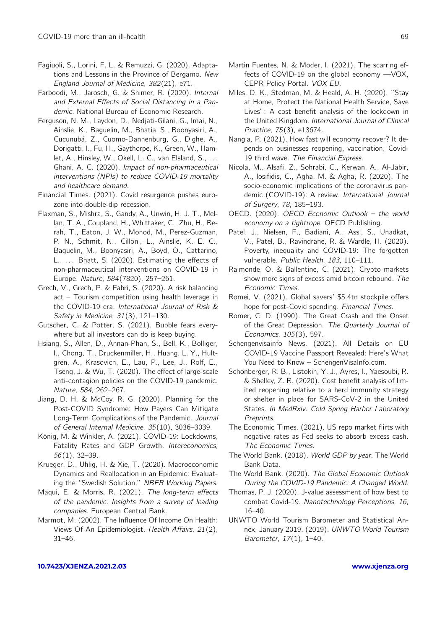- <span id="page-5-3"></span>Fagiuoli, S., Lorini, F. L. & Remuzzi, G. (2020). Adaptations and Lessons in the Province of Bergamo. New England Journal of Medicine, 382(21), e71.
- <span id="page-5-2"></span>Farboodi, M., Jarosch, G. & Shimer, R. (2020). Internal and External Effects of Social Distancing in a Pandemic. National Bureau of Economic Research.
- <span id="page-5-0"></span>Ferguson, N. M., Laydon, D., Nedjati-Gilani, G., Imai, N., Ainslie, K., Baguelin, M., Bhatia, S., Boonyasiri, A., Cucunubá, Z., Cuomo-Dannenburg, G., Dighe, A., Dorigatti, I., Fu, H., Gaythorpe, K., Green, W., Hamlet, A., Hinsley, W., Okell, L. C., van Elsland, S., ... Ghani, A. C. (2020). Impact of non-pharmaceutical interventions (NPIs) to reduce COVID-19 mortality and healthcare demand.
- <span id="page-5-21"></span>Financial Times. (2021). Covid resurgence pushes eurozone into double-dip recession.
- <span id="page-5-4"></span>Flaxman, S., Mishra, S., Gandy, A., Unwin, H. J. T., Mellan, T. A., Coupland, H., Whittaker, C., Zhu, H., Berah, T., Eaton, J. W., Monod, M., Perez-Guzman, P. N., Schmit, N., Cilloni, L., Ainslie, K. E. C., Baguelin, M., Boonyasiri, A., Boyd, O., Cattarino, L., ... Bhatt, S. (2020). Estimating the effects of non-pharmaceutical interventions on COVID-19 in Europe. Nature, 584(7820), 257–261.
- <span id="page-5-22"></span>Grech, V., Grech, P. & Fabri, S. (2020). A risk balancing act – Tourism competition using health leverage in the COVID-19 era. International Journal of Risk & Safety in Medicine, 31(3), 121–130.
- <span id="page-5-26"></span>Gutscher, C. & Potter, S. (2021). Bubble fears everywhere but all investors can do is keep buying.
- <span id="page-5-5"></span>Hsiang, S., Allen, D., Annan-Phan, S., Bell, K., Bolliger, I., Chong, T., Druckenmiller, H., Huang, L. Y., Hultgren, A., Krasovich, E., Lau, P., Lee, J., Rolf, E., Tseng, J. & Wu, T. (2020). The effect of large-scale anti-contagion policies on the COVID-19 pandemic. Nature, 584, 262–267.
- <span id="page-5-14"></span>Jiang, D. H. & McCoy, R. G. (2020). Planning for the Post-COVID Syndrome: How Payers Can Mitigate Long-Term Complications of the Pandemic. Journal of General Internal Medicine, 35(10), 3036–3039.
- <span id="page-5-13"></span>König, M. & Winkler, A. (2021). COVID-19: Lockdowns, Fatality Rates and GDP Growth. Intereconomics, 56(1), 32–39.
- <span id="page-5-1"></span>Krueger, D., Uhlig, H. & Xie, T. (2020). Macroeconomic Dynamics and Reallocation in an Epidemic: Evaluating the "Swedish Solution." NBER Working Papers.
- <span id="page-5-15"></span>Maqui, E. & Morris, R. (2021). The long-term effects of the pandemic: Insights from a survey of leading companies. European Central Bank.
- <span id="page-5-10"></span>Marmot, M. (2002). The Influence Of Income On Health: Views Of An Epidemiologist. Health Affairs, 21(2), 31–46.
- <span id="page-5-19"></span>Martin Fuentes, N. & Moder, I. (2021). The scarring effects of COVID-19 on the global economy —VOX, CEPR Policy Portal. VOX EU.
- <span id="page-5-11"></span>Miles, D. K., Stedman, M. & Heald, A. H. (2020). ''Stay at Home, Protect the National Health Service, Save Lives": A cost benefit analysis of the lockdown in the United Kingdom. International Journal of Clinical Practice, 75(3), e13674.
- <span id="page-5-20"></span>Nangia, P. (2021). How fast will economy recover? It depends on businesses reopening, vaccination, Covid-19 third wave. The Financial Express.
- <span id="page-5-6"></span>Nicola, M., Alsafi, Z., Sohrabi, C., Kerwan, A., Al-Jabir, A., Iosifidis, C., Agha, M. & Agha, R. (2020). The socio-economic implications of the coronavirus pandemic (COVID-19): A review. International Journal of Surgery, 78, 185–193.
- <span id="page-5-17"></span>OECD. (2020). OECD Economic Outlook – the world economy on a tightrope. OECD Publishing.
- <span id="page-5-28"></span>Patel, J., Nielsen, F., Badiani, A., Assi, S., Unadkat, V., Patel, B., Ravindrane, R. & Wardle, H. (2020). Poverty, inequality and COVID-19: The forgotten vulnerable. Public Health, 183, 110-111.
- <span id="page-5-27"></span>Raimonde, O. & Ballentine, C. (2021). Crypto markets show more signs of excess amid bitcoin rebound. The Economic Times.
- <span id="page-5-25"></span>Romei, V. (2021). Global savers' \$5.4tn stockpile offers hope for post-Covid spending. Financial Times.
- <span id="page-5-16"></span>Romer, C. D. (1990). The Great Crash and the Onset of the Great Depression. The Quarterly Journal of Economics, 105(3), 597.
- <span id="page-5-23"></span>Schengenvisainfo News. (2021). All Details on EU COVID-19 Vaccine Passport Revealed: Here's What You Need to Know - SchengenVisaInfo.com.
- <span id="page-5-12"></span>Schonberger, R. B., Listokin, Y. J., Ayres, I., Yaesoubi, R. & Shelley, Z. R. (2020). Cost benefit analysis of limited reopening relative to a herd immunity strategy or shelter in place for SARS-CoV-2 in the United States. In MedRxiv. Cold Spring Harbor Laboratory Preprints.
- <span id="page-5-24"></span>The Economic Times. (2021). US repo market flirts with negative rates as Fed seeks to absorb excess cash. The Economic Times.
- <span id="page-5-8"></span>The World Bank. (2018). World GDP by year. The World Bank Data.
- <span id="page-5-18"></span>The World Bank. (2020). The Global Economic Outlook During the COVID-19 Pandemic: A Changed World.
- <span id="page-5-9"></span>Thomas, P. J. (2020). J-value assessment of how best to combat Covid-19. Nanotechnology Perceptions, 16, 16–40.
- <span id="page-5-7"></span>UNWTO World Tourism Barometer and Statistical Annex, January 2019. (2019). UNWTO World Tourism Barometer, 17(1), 1–40.